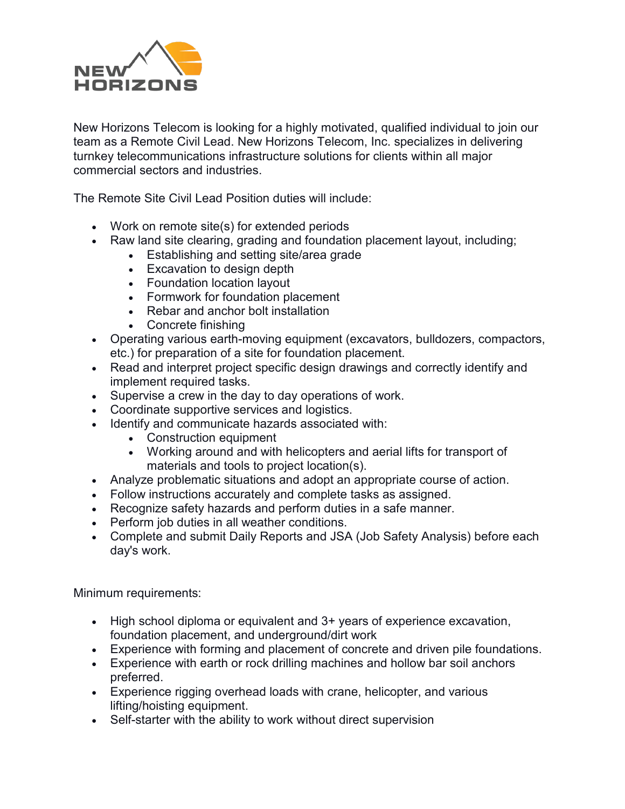

New Horizons Telecom is looking for a highly motivated, qualified individual to join our team as a Remote Civil Lead. New Horizons Telecom, Inc. specializes in delivering turnkey telecommunications infrastructure solutions for clients within all major commercial sectors and industries.

The Remote Site Civil Lead Position duties will include:

- Work on remote site(s) for extended periods
- Raw land site clearing, grading and foundation placement layout, including;
	- Establishing and setting site/area grade
	- Excavation to design depth
	- Foundation location layout
	- Formwork for foundation placement
	- Rebar and anchor bolt installation
	- Concrete finishing
- Operating various earth-moving equipment (excavators, bulldozers, compactors, etc.) for preparation of a site for foundation placement.
- Read and interpret project specific design drawings and correctly identify and implement required tasks.
- Supervise a crew in the day to day operations of work.
- Coordinate supportive services and logistics.
- Identify and communicate hazards associated with:
	- Construction equipment
	- Working around and with helicopters and aerial lifts for transport of materials and tools to project location(s).
- Analyze problematic situations and adopt an appropriate course of action.
- Follow instructions accurately and complete tasks as assigned.
- Recognize safety hazards and perform duties in a safe manner.
- Perform job duties in all weather conditions.
- Complete and submit Daily Reports and JSA (Job Safety Analysis) before each day's work.

Minimum requirements:

- High school diploma or equivalent and 3+ years of experience excavation, foundation placement, and underground/dirt work
- Experience with forming and placement of concrete and driven pile foundations.
- Experience with earth or rock drilling machines and hollow bar soil anchors preferred.
- Experience rigging overhead loads with crane, helicopter, and various lifting/hoisting equipment.
- Self-starter with the ability to work without direct supervision